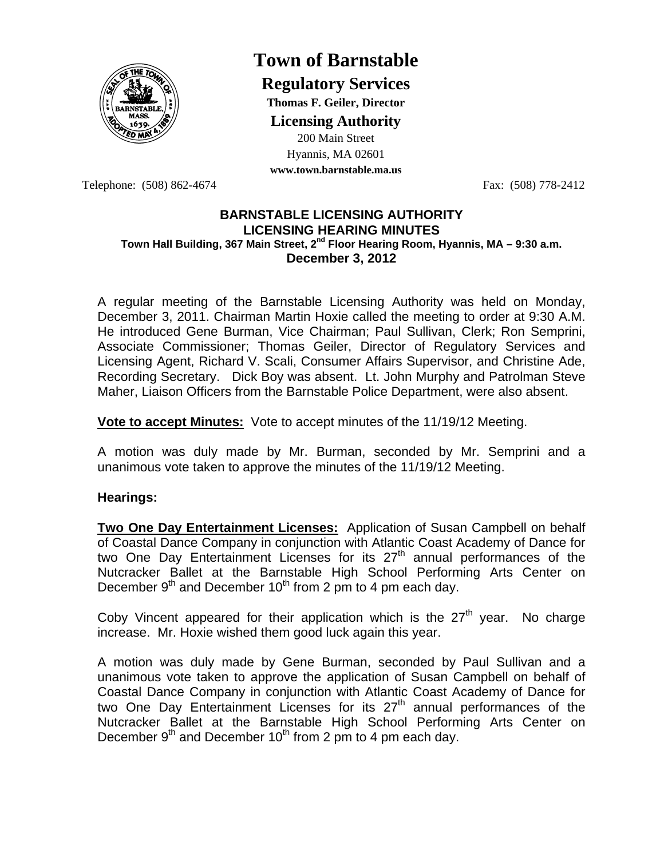

# **Town of Barnstable**

**Regulatory Services**

**Thomas F. Geiler, Director** 

**Licensing Authority**

200 Main Street Hyannis, MA 02601

**www.town.barnstable.ma.us**

Telephone: (508) 862-4674 Fax: (508) 778-2412

# **BARNSTABLE LICENSING AUTHORITY LICENSING HEARING MINUTES Town Hall Building, 367 Main Street, 2nd Floor Hearing Room, Hyannis, MA – 9:30 a.m. December 3, 2012**

A regular meeting of the Barnstable Licensing Authority was held on Monday, December 3, 2011. Chairman Martin Hoxie called the meeting to order at 9:30 A.M. He introduced Gene Burman, Vice Chairman; Paul Sullivan, Clerk; Ron Semprini, Associate Commissioner; Thomas Geiler, Director of Regulatory Services and Licensing Agent, Richard V. Scali, Consumer Affairs Supervisor, and Christine Ade, Recording Secretary. Dick Boy was absent. Lt. John Murphy and Patrolman Steve Maher, Liaison Officers from the Barnstable Police Department, were also absent.

**Vote to accept Minutes:** Vote to accept minutes of the 11/19/12 Meeting.

A motion was duly made by Mr. Burman, seconded by Mr. Semprini and a unanimous vote taken to approve the minutes of the 11/19/12 Meeting.

# **Hearings:**

**Two One Day Entertainment Licenses:** Application of Susan Campbell on behalf of Coastal Dance Company in conjunction with Atlantic Coast Academy of Dance for two One Day Entertainment Licenses for its 27<sup>th</sup> annual performances of the Nutcracker Ballet at the Barnstable High School Performing Arts Center on December  $9<sup>th</sup>$  and December 10<sup>th</sup> from 2 pm to 4 pm each day.

Coby Vincent appeared for their application which is the  $27<sup>th</sup>$  year. No charge increase. Mr. Hoxie wished them good luck again this year.

A motion was duly made by Gene Burman, seconded by Paul Sullivan and a unanimous vote taken to approve the application of Susan Campbell on behalf of Coastal Dance Company in conjunction with Atlantic Coast Academy of Dance for two One Day Entertainment Licenses for its 27<sup>th</sup> annual performances of the Nutcracker Ballet at the Barnstable High School Performing Arts Center on December  $9<sup>th</sup>$  and December 10<sup>th</sup> from 2 pm to 4 pm each day.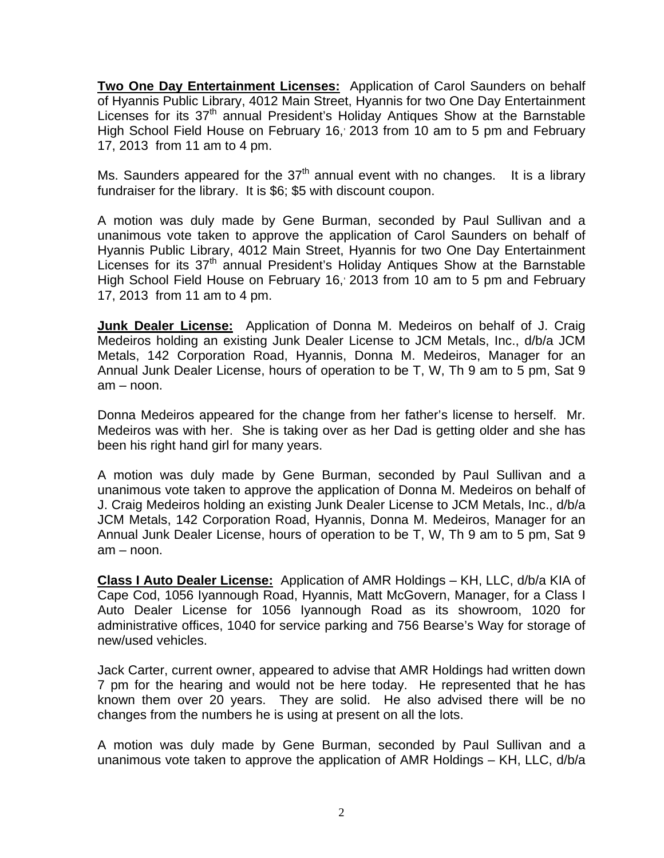**Two One Day Entertainment Licenses:** Application of Carol Saunders on behalf of Hyannis Public Library, 4012 Main Street, Hyannis for two One Day Entertainment Licenses for its 37<sup>th</sup> annual President's Holiday Antiques Show at the Barnstable High School Field House on February 16, 2013 from 10 am to 5 pm and February 17, 2013 from 11 am to 4 pm.

Ms. Saunders appeared for the  $37<sup>th</sup>$  annual event with no changes. It is a library fundraiser for the library. It is \$6; \$5 with discount coupon.

A motion was duly made by Gene Burman, seconded by Paul Sullivan and a unanimous vote taken to approve the application of Carol Saunders on behalf of Hyannis Public Library, 4012 Main Street, Hyannis for two One Day Entertainment Licenses for its 37<sup>th</sup> annual President's Holiday Antiques Show at the Barnstable High School Field House on February 16, 2013 from 10 am to 5 pm and February 17, 2013 from 11 am to 4 pm.

**Junk Dealer License:** Application of Donna M. Medeiros on behalf of J. Craig Medeiros holding an existing Junk Dealer License to JCM Metals, Inc., d/b/a JCM Metals, 142 Corporation Road, Hyannis, Donna M. Medeiros, Manager for an Annual Junk Dealer License, hours of operation to be T, W, Th 9 am to 5 pm, Sat 9 am – noon.

Donna Medeiros appeared for the change from her father's license to herself. Mr. Medeiros was with her. She is taking over as her Dad is getting older and she has been his right hand girl for many years.

A motion was duly made by Gene Burman, seconded by Paul Sullivan and a unanimous vote taken to approve the application of Donna M. Medeiros on behalf of J. Craig Medeiros holding an existing Junk Dealer License to JCM Metals, Inc., d/b/a JCM Metals, 142 Corporation Road, Hyannis, Donna M. Medeiros, Manager for an Annual Junk Dealer License, hours of operation to be T, W, Th 9 am to 5 pm, Sat 9 am – noon.

**Class I Auto Dealer License:** Application of AMR Holdings – KH, LLC, d/b/a KIA of Cape Cod, 1056 Iyannough Road, Hyannis, Matt McGovern, Manager, for a Class I Auto Dealer License for 1056 Iyannough Road as its showroom, 1020 for administrative offices, 1040 for service parking and 756 Bearse's Way for storage of new/used vehicles.

Jack Carter, current owner, appeared to advise that AMR Holdings had written down 7 pm for the hearing and would not be here today. He represented that he has known them over 20 years. They are solid. He also advised there will be no changes from the numbers he is using at present on all the lots.

A motion was duly made by Gene Burman, seconded by Paul Sullivan and a unanimous vote taken to approve the application of AMR Holdings – KH, LLC, d/b/a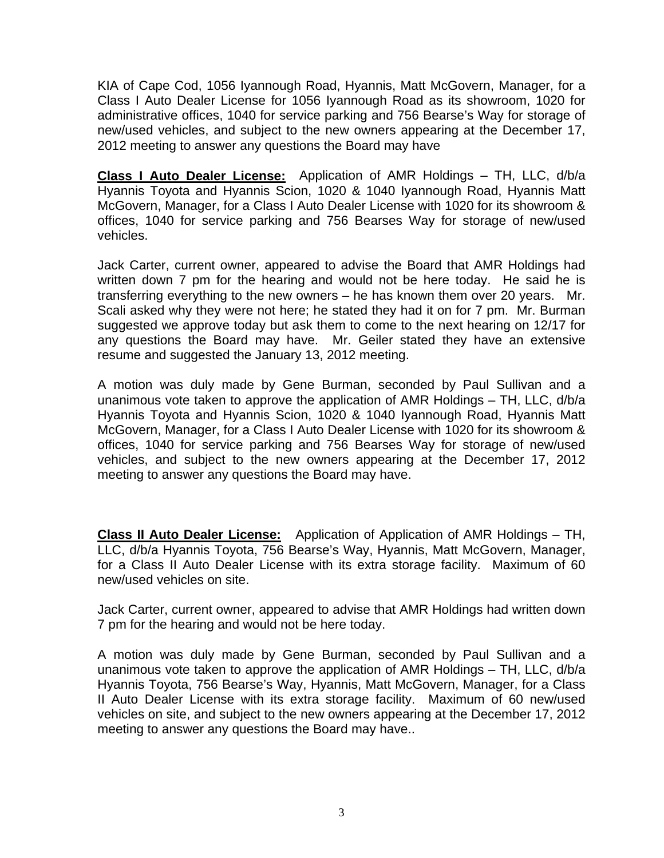KIA of Cape Cod, 1056 Iyannough Road, Hyannis, Matt McGovern, Manager, for a Class I Auto Dealer License for 1056 Iyannough Road as its showroom, 1020 for administrative offices, 1040 for service parking and 756 Bearse's Way for storage of new/used vehicles, and subject to the new owners appearing at the December 17, 2012 meeting to answer any questions the Board may have

**Class I Auto Dealer License:** Application of AMR Holdings – TH, LLC, d/b/a Hyannis Toyota and Hyannis Scion, 1020 & 1040 Iyannough Road, Hyannis Matt McGovern, Manager, for a Class I Auto Dealer License with 1020 for its showroom & offices, 1040 for service parking and 756 Bearses Way for storage of new/used vehicles.

Jack Carter, current owner, appeared to advise the Board that AMR Holdings had written down 7 pm for the hearing and would not be here today. He said he is transferring everything to the new owners – he has known them over 20 years. Mr. Scali asked why they were not here; he stated they had it on for 7 pm. Mr. Burman suggested we approve today but ask them to come to the next hearing on 12/17 for any questions the Board may have. Mr. Geiler stated they have an extensive resume and suggested the January 13, 2012 meeting.

A motion was duly made by Gene Burman, seconded by Paul Sullivan and a unanimous vote taken to approve the application of AMR Holdings – TH, LLC, d/b/a Hyannis Toyota and Hyannis Scion, 1020 & 1040 Iyannough Road, Hyannis Matt McGovern, Manager, for a Class I Auto Dealer License with 1020 for its showroom & offices, 1040 for service parking and 756 Bearses Way for storage of new/used vehicles, and subject to the new owners appearing at the December 17, 2012 meeting to answer any questions the Board may have.

**Class II Auto Dealer License:** Application of Application of AMR Holdings – TH, LLC, d/b/a Hyannis Toyota, 756 Bearse's Way, Hyannis, Matt McGovern, Manager, for a Class II Auto Dealer License with its extra storage facility. Maximum of 60 new/used vehicles on site.

Jack Carter, current owner, appeared to advise that AMR Holdings had written down 7 pm for the hearing and would not be here today.

A motion was duly made by Gene Burman, seconded by Paul Sullivan and a unanimous vote taken to approve the application of AMR Holdings – TH, LLC, d/b/a Hyannis Toyota, 756 Bearse's Way, Hyannis, Matt McGovern, Manager, for a Class II Auto Dealer License with its extra storage facility. Maximum of 60 new/used vehicles on site, and subject to the new owners appearing at the December 17, 2012 meeting to answer any questions the Board may have..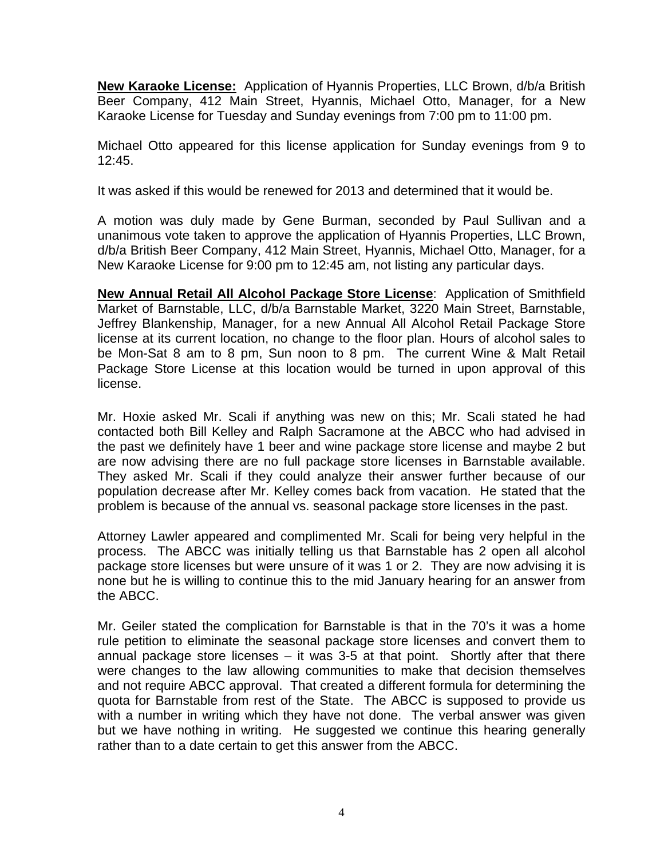**New Karaoke License:** Application of Hyannis Properties, LLC Brown, d/b/a British Beer Company, 412 Main Street, Hyannis, Michael Otto, Manager, for a New Karaoke License for Tuesday and Sunday evenings from 7:00 pm to 11:00 pm.

Michael Otto appeared for this license application for Sunday evenings from 9 to 12:45.

It was asked if this would be renewed for 2013 and determined that it would be.

A motion was duly made by Gene Burman, seconded by Paul Sullivan and a unanimous vote taken to approve the application of Hyannis Properties, LLC Brown, d/b/a British Beer Company, 412 Main Street, Hyannis, Michael Otto, Manager, for a New Karaoke License for 9:00 pm to 12:45 am, not listing any particular days.

**New Annual Retail All Alcohol Package Store License**: Application of Smithfield Market of Barnstable, LLC, d/b/a Barnstable Market, 3220 Main Street, Barnstable, Jeffrey Blankenship, Manager, for a new Annual All Alcohol Retail Package Store license at its current location, no change to the floor plan. Hours of alcohol sales to be Mon-Sat 8 am to 8 pm, Sun noon to 8 pm. The current Wine & Malt Retail Package Store License at this location would be turned in upon approval of this license.

Mr. Hoxie asked Mr. Scali if anything was new on this; Mr. Scali stated he had contacted both Bill Kelley and Ralph Sacramone at the ABCC who had advised in the past we definitely have 1 beer and wine package store license and maybe 2 but are now advising there are no full package store licenses in Barnstable available. They asked Mr. Scali if they could analyze their answer further because of our population decrease after Mr. Kelley comes back from vacation. He stated that the problem is because of the annual vs. seasonal package store licenses in the past.

Attorney Lawler appeared and complimented Mr. Scali for being very helpful in the process. The ABCC was initially telling us that Barnstable has 2 open all alcohol package store licenses but were unsure of it was 1 or 2. They are now advising it is none but he is willing to continue this to the mid January hearing for an answer from the ABCC.

Mr. Geiler stated the complication for Barnstable is that in the 70's it was a home rule petition to eliminate the seasonal package store licenses and convert them to annual package store licenses – it was 3-5 at that point. Shortly after that there were changes to the law allowing communities to make that decision themselves and not require ABCC approval. That created a different formula for determining the quota for Barnstable from rest of the State. The ABCC is supposed to provide us with a number in writing which they have not done. The verbal answer was given but we have nothing in writing. He suggested we continue this hearing generally rather than to a date certain to get this answer from the ABCC.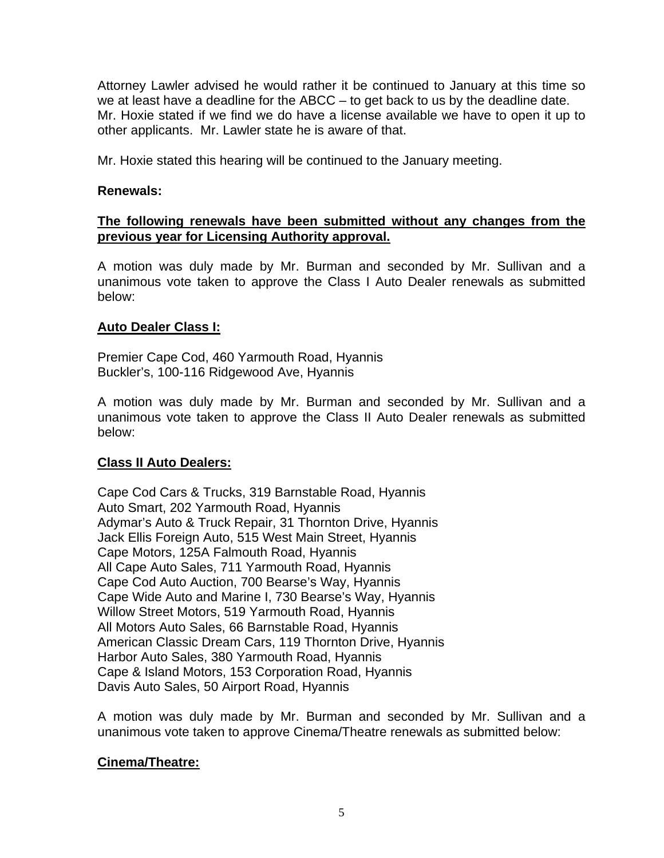Attorney Lawler advised he would rather it be continued to January at this time so we at least have a deadline for the ABCC – to get back to us by the deadline date. Mr. Hoxie stated if we find we do have a license available we have to open it up to other applicants. Mr. Lawler state he is aware of that.

Mr. Hoxie stated this hearing will be continued to the January meeting.

### **Renewals:**

# **The following renewals have been submitted without any changes from the previous year for Licensing Authority approval.**

A motion was duly made by Mr. Burman and seconded by Mr. Sullivan and a unanimous vote taken to approve the Class I Auto Dealer renewals as submitted below:

### **Auto Dealer Class I:**

Premier Cape Cod, 460 Yarmouth Road, Hyannis Buckler's, 100-116 Ridgewood Ave, Hyannis

A motion was duly made by Mr. Burman and seconded by Mr. Sullivan and a unanimous vote taken to approve the Class II Auto Dealer renewals as submitted below:

#### **Class II Auto Dealers:**

Cape Cod Cars & Trucks, 319 Barnstable Road, Hyannis Auto Smart, 202 Yarmouth Road, Hyannis Adymar's Auto & Truck Repair, 31 Thornton Drive, Hyannis Jack Ellis Foreign Auto, 515 West Main Street, Hyannis Cape Motors, 125A Falmouth Road, Hyannis All Cape Auto Sales, 711 Yarmouth Road, Hyannis Cape Cod Auto Auction, 700 Bearse's Way, Hyannis Cape Wide Auto and Marine I, 730 Bearse's Way, Hyannis Willow Street Motors, 519 Yarmouth Road, Hyannis All Motors Auto Sales, 66 Barnstable Road, Hyannis American Classic Dream Cars, 119 Thornton Drive, Hyannis Harbor Auto Sales, 380 Yarmouth Road, Hyannis Cape & Island Motors, 153 Corporation Road, Hyannis Davis Auto Sales, 50 Airport Road, Hyannis

A motion was duly made by Mr. Burman and seconded by Mr. Sullivan and a unanimous vote taken to approve Cinema/Theatre renewals as submitted below:

# **Cinema/Theatre:**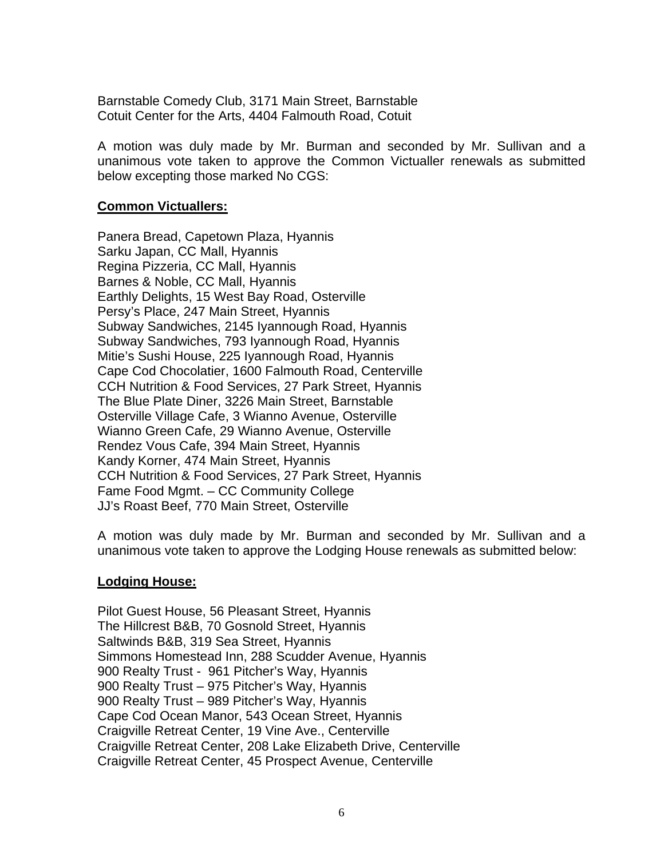Barnstable Comedy Club, 3171 Main Street, Barnstable Cotuit Center for the Arts, 4404 Falmouth Road, Cotuit

A motion was duly made by Mr. Burman and seconded by Mr. Sullivan and a unanimous vote taken to approve the Common Victualler renewals as submitted below excepting those marked No CGS:

### **Common Victuallers:**

Panera Bread, Capetown Plaza, Hyannis Sarku Japan, CC Mall, Hyannis Regina Pizzeria, CC Mall, Hyannis Barnes & Noble, CC Mall, Hyannis Earthly Delights, 15 West Bay Road, Osterville Persy's Place, 247 Main Street, Hyannis Subway Sandwiches, 2145 Iyannough Road, Hyannis Subway Sandwiches, 793 Iyannough Road, Hyannis Mitie's Sushi House, 225 Iyannough Road, Hyannis Cape Cod Chocolatier, 1600 Falmouth Road, Centerville CCH Nutrition & Food Services, 27 Park Street, Hyannis The Blue Plate Diner, 3226 Main Street, Barnstable Osterville Village Cafe, 3 Wianno Avenue, Osterville Wianno Green Cafe, 29 Wianno Avenue, Osterville Rendez Vous Cafe, 394 Main Street, Hyannis Kandy Korner, 474 Main Street, Hyannis CCH Nutrition & Food Services, 27 Park Street, Hyannis Fame Food Mgmt. – CC Community College JJ's Roast Beef, 770 Main Street, Osterville

A motion was duly made by Mr. Burman and seconded by Mr. Sullivan and a unanimous vote taken to approve the Lodging House renewals as submitted below:

#### **Lodging House:**

Pilot Guest House, 56 Pleasant Street, Hyannis The Hillcrest B&B, 70 Gosnold Street, Hyannis Saltwinds B&B, 319 Sea Street, Hyannis Simmons Homestead Inn, 288 Scudder Avenue, Hyannis 900 Realty Trust - 961 Pitcher's Way, Hyannis 900 Realty Trust – 975 Pitcher's Way, Hyannis 900 Realty Trust – 989 Pitcher's Way, Hyannis Cape Cod Ocean Manor, 543 Ocean Street, Hyannis Craigville Retreat Center, 19 Vine Ave., Centerville Craigville Retreat Center, 208 Lake Elizabeth Drive, Centerville Craigville Retreat Center, 45 Prospect Avenue, Centerville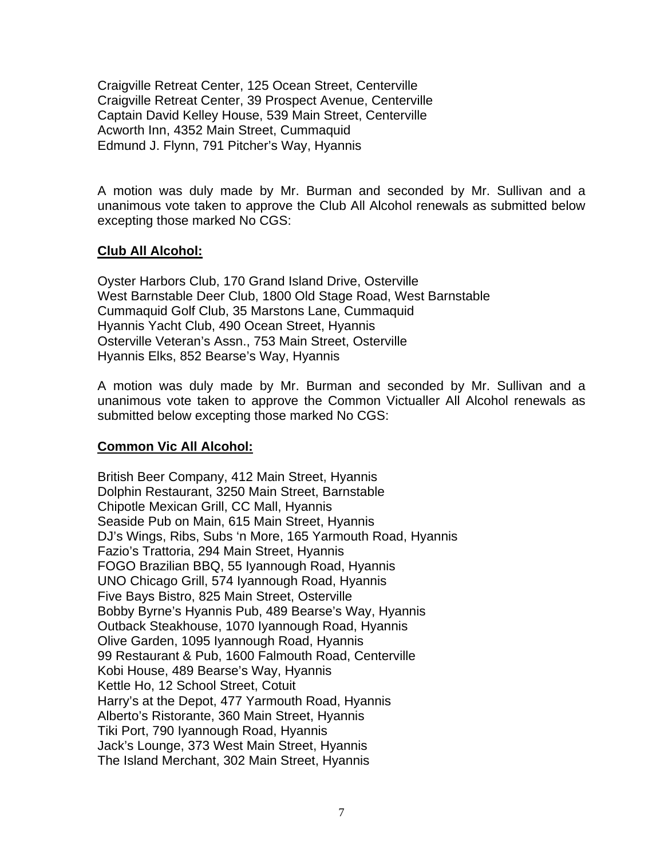Craigville Retreat Center, 125 Ocean Street, Centerville Craigville Retreat Center, 39 Prospect Avenue, Centerville Captain David Kelley House, 539 Main Street, Centerville Acworth Inn, 4352 Main Street, Cummaquid Edmund J. Flynn, 791 Pitcher's Way, Hyannis

A motion was duly made by Mr. Burman and seconded by Mr. Sullivan and a unanimous vote taken to approve the Club All Alcohol renewals as submitted below excepting those marked No CGS:

### **Club All Alcohol:**

Oyster Harbors Club, 170 Grand Island Drive, Osterville West Barnstable Deer Club, 1800 Old Stage Road, West Barnstable Cummaquid Golf Club, 35 Marstons Lane, Cummaquid Hyannis Yacht Club, 490 Ocean Street, Hyannis Osterville Veteran's Assn., 753 Main Street, Osterville Hyannis Elks, 852 Bearse's Way, Hyannis

A motion was duly made by Mr. Burman and seconded by Mr. Sullivan and a unanimous vote taken to approve the Common Victualler All Alcohol renewals as submitted below excepting those marked No CGS:

# **Common Vic All Alcohol:**

British Beer Company, 412 Main Street, Hyannis Dolphin Restaurant, 3250 Main Street, Barnstable Chipotle Mexican Grill, CC Mall, Hyannis Seaside Pub on Main, 615 Main Street, Hyannis DJ's Wings, Ribs, Subs 'n More, 165 Yarmouth Road, Hyannis Fazio's Trattoria, 294 Main Street, Hyannis FOGO Brazilian BBQ, 55 Iyannough Road, Hyannis UNO Chicago Grill, 574 Iyannough Road, Hyannis Five Bays Bistro, 825 Main Street, Osterville Bobby Byrne's Hyannis Pub, 489 Bearse's Way, Hyannis Outback Steakhouse, 1070 Iyannough Road, Hyannis Olive Garden, 1095 Iyannough Road, Hyannis 99 Restaurant & Pub, 1600 Falmouth Road, Centerville Kobi House, 489 Bearse's Way, Hyannis Kettle Ho, 12 School Street, Cotuit Harry's at the Depot, 477 Yarmouth Road, Hyannis Alberto's Ristorante, 360 Main Street, Hyannis Tiki Port, 790 Iyannough Road, Hyannis Jack's Lounge, 373 West Main Street, Hyannis The Island Merchant, 302 Main Street, Hyannis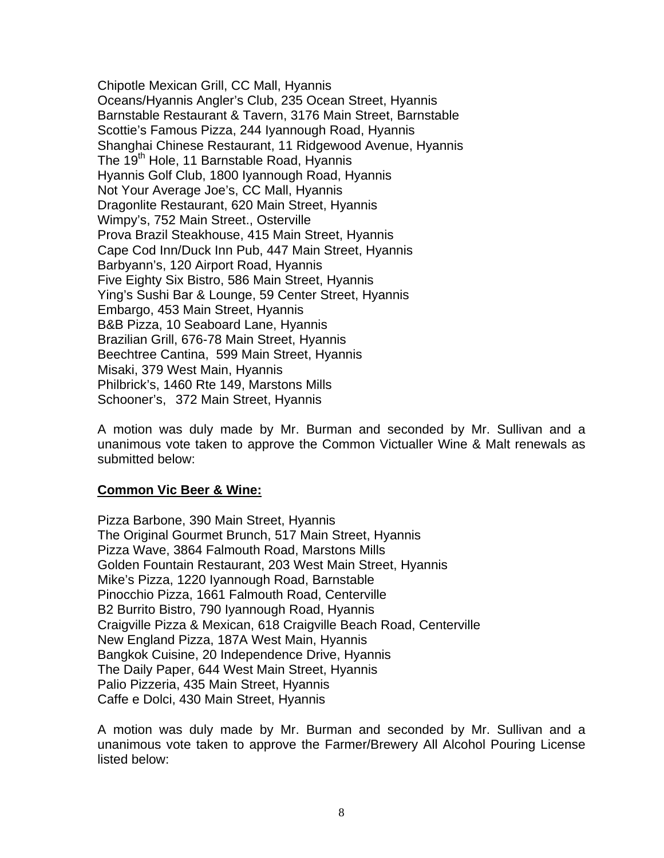Chipotle Mexican Grill, CC Mall, Hyannis Oceans/Hyannis Angler's Club, 235 Ocean Street, Hyannis Barnstable Restaurant & Tavern, 3176 Main Street, Barnstable Scottie's Famous Pizza, 244 Iyannough Road, Hyannis Shanghai Chinese Restaurant, 11 Ridgewood Avenue, Hyannis The 19<sup>th</sup> Hole, 11 Barnstable Road, Hyannis Hyannis Golf Club, 1800 Iyannough Road, Hyannis Not Your Average Joe's, CC Mall, Hyannis Dragonlite Restaurant, 620 Main Street, Hyannis Wimpy's, 752 Main Street., Osterville Prova Brazil Steakhouse, 415 Main Street, Hyannis Cape Cod Inn/Duck Inn Pub, 447 Main Street, Hyannis Barbyann's, 120 Airport Road, Hyannis Five Eighty Six Bistro, 586 Main Street, Hyannis Ying's Sushi Bar & Lounge, 59 Center Street, Hyannis Embargo, 453 Main Street, Hyannis B&B Pizza, 10 Seaboard Lane, Hyannis Brazilian Grill, 676-78 Main Street, Hyannis Beechtree Cantina, 599 Main Street, Hyannis Misaki, 379 West Main, Hyannis Philbrick's, 1460 Rte 149, Marstons Mills Schooner's, 372 Main Street, Hyannis

A motion was duly made by Mr. Burman and seconded by Mr. Sullivan and a unanimous vote taken to approve the Common Victualler Wine & Malt renewals as submitted below:

# **Common Vic Beer & Wine:**

Pizza Barbone, 390 Main Street, Hyannis The Original Gourmet Brunch, 517 Main Street, Hyannis Pizza Wave, 3864 Falmouth Road, Marstons Mills Golden Fountain Restaurant, 203 West Main Street, Hyannis Mike's Pizza, 1220 Iyannough Road, Barnstable Pinocchio Pizza, 1661 Falmouth Road, Centerville B2 Burrito Bistro, 790 Iyannough Road, Hyannis Craigville Pizza & Mexican, 618 Craigville Beach Road, Centerville New England Pizza, 187A West Main, Hyannis Bangkok Cuisine, 20 Independence Drive, Hyannis The Daily Paper, 644 West Main Street, Hyannis Palio Pizzeria, 435 Main Street, Hyannis Caffe e Dolci, 430 Main Street, Hyannis

A motion was duly made by Mr. Burman and seconded by Mr. Sullivan and a unanimous vote taken to approve the Farmer/Brewery All Alcohol Pouring License listed below: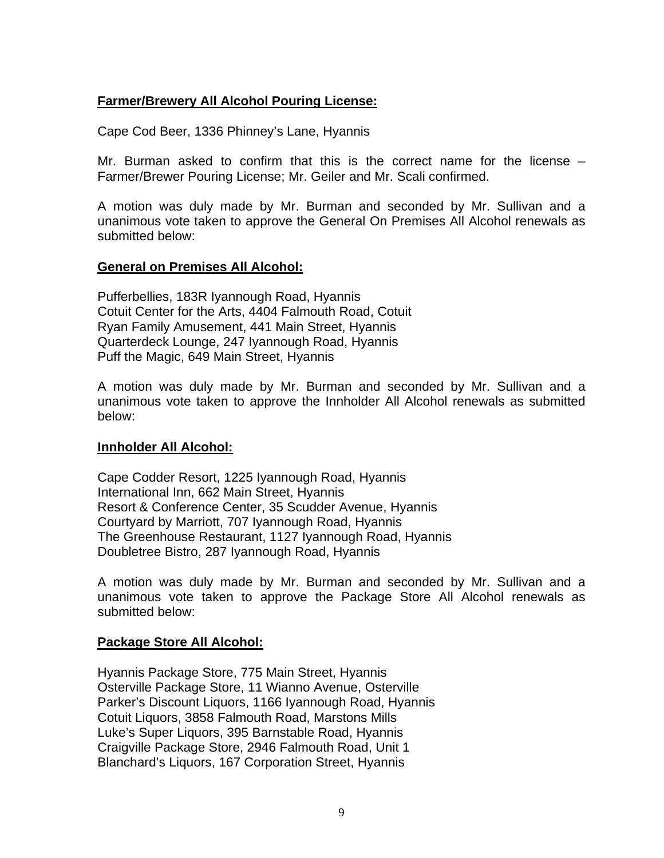# **Farmer/Brewery All Alcohol Pouring License:**

Cape Cod Beer, 1336 Phinney's Lane, Hyannis

Mr. Burman asked to confirm that this is the correct name for the license – Farmer/Brewer Pouring License; Mr. Geiler and Mr. Scali confirmed.

A motion was duly made by Mr. Burman and seconded by Mr. Sullivan and a unanimous vote taken to approve the General On Premises All Alcohol renewals as submitted below:

# **General on Premises All Alcohol:**

Pufferbellies, 183R Iyannough Road, Hyannis Cotuit Center for the Arts, 4404 Falmouth Road, Cotuit Ryan Family Amusement, 441 Main Street, Hyannis Quarterdeck Lounge, 247 Iyannough Road, Hyannis Puff the Magic, 649 Main Street, Hyannis

A motion was duly made by Mr. Burman and seconded by Mr. Sullivan and a unanimous vote taken to approve the Innholder All Alcohol renewals as submitted below:

#### **Innholder All Alcohol:**

Cape Codder Resort, 1225 Iyannough Road, Hyannis International Inn, 662 Main Street, Hyannis Resort & Conference Center, 35 Scudder Avenue, Hyannis Courtyard by Marriott, 707 Iyannough Road, Hyannis The Greenhouse Restaurant, 1127 Iyannough Road, Hyannis Doubletree Bistro, 287 Iyannough Road, Hyannis

A motion was duly made by Mr. Burman and seconded by Mr. Sullivan and a unanimous vote taken to approve the Package Store All Alcohol renewals as submitted below:

#### **Package Store All Alcohol:**

Hyannis Package Store, 775 Main Street, Hyannis Osterville Package Store, 11 Wianno Avenue, Osterville Parker's Discount Liquors, 1166 Iyannough Road, Hyannis Cotuit Liquors, 3858 Falmouth Road, Marstons Mills Luke's Super Liquors, 395 Barnstable Road, Hyannis Craigville Package Store, 2946 Falmouth Road, Unit 1 Blanchard's Liquors, 167 Corporation Street, Hyannis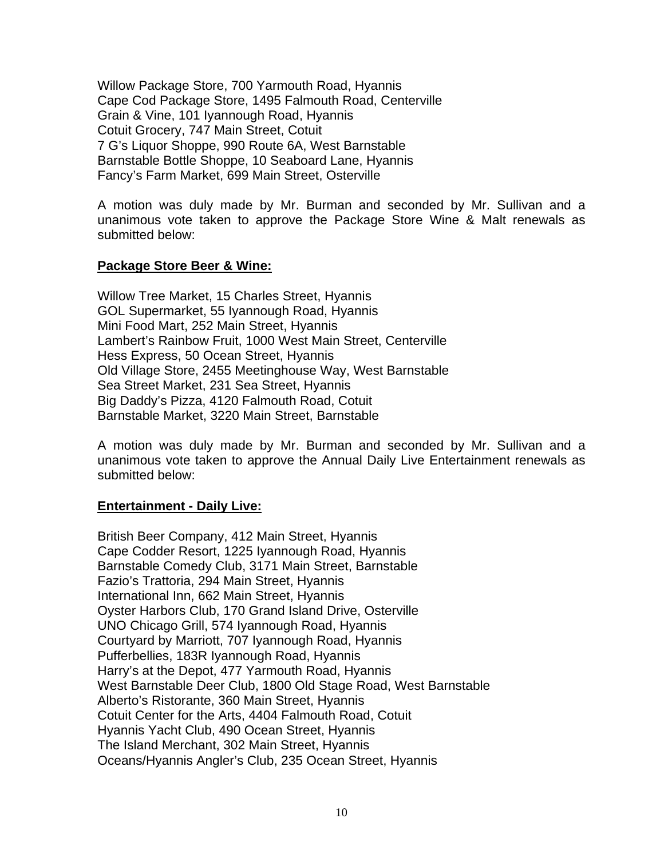Willow Package Store, 700 Yarmouth Road, Hyannis Cape Cod Package Store, 1495 Falmouth Road, Centerville Grain & Vine, 101 Iyannough Road, Hyannis Cotuit Grocery, 747 Main Street, Cotuit 7 G's Liquor Shoppe, 990 Route 6A, West Barnstable Barnstable Bottle Shoppe, 10 Seaboard Lane, Hyannis Fancy's Farm Market, 699 Main Street, Osterville

A motion was duly made by Mr. Burman and seconded by Mr. Sullivan and a unanimous vote taken to approve the Package Store Wine & Malt renewals as submitted below:

### **Package Store Beer & Wine:**

Willow Tree Market, 15 Charles Street, Hyannis GOL Supermarket, 55 Iyannough Road, Hyannis Mini Food Mart, 252 Main Street, Hyannis Lambert's Rainbow Fruit, 1000 West Main Street, Centerville Hess Express, 50 Ocean Street, Hyannis Old Village Store, 2455 Meetinghouse Way, West Barnstable Sea Street Market, 231 Sea Street, Hyannis Big Daddy's Pizza, 4120 Falmouth Road, Cotuit Barnstable Market, 3220 Main Street, Barnstable

A motion was duly made by Mr. Burman and seconded by Mr. Sullivan and a unanimous vote taken to approve the Annual Daily Live Entertainment renewals as submitted below:

# **Entertainment - Daily Live:**

British Beer Company, 412 Main Street, Hyannis Cape Codder Resort, 1225 Iyannough Road, Hyannis Barnstable Comedy Club, 3171 Main Street, Barnstable Fazio's Trattoria, 294 Main Street, Hyannis International Inn, 662 Main Street, Hyannis Oyster Harbors Club, 170 Grand Island Drive, Osterville UNO Chicago Grill, 574 Iyannough Road, Hyannis Courtyard by Marriott, 707 Iyannough Road, Hyannis Pufferbellies, 183R Iyannough Road, Hyannis Harry's at the Depot, 477 Yarmouth Road, Hyannis West Barnstable Deer Club, 1800 Old Stage Road, West Barnstable Alberto's Ristorante, 360 Main Street, Hyannis Cotuit Center for the Arts, 4404 Falmouth Road, Cotuit Hyannis Yacht Club, 490 Ocean Street, Hyannis The Island Merchant, 302 Main Street, Hyannis Oceans/Hyannis Angler's Club, 235 Ocean Street, Hyannis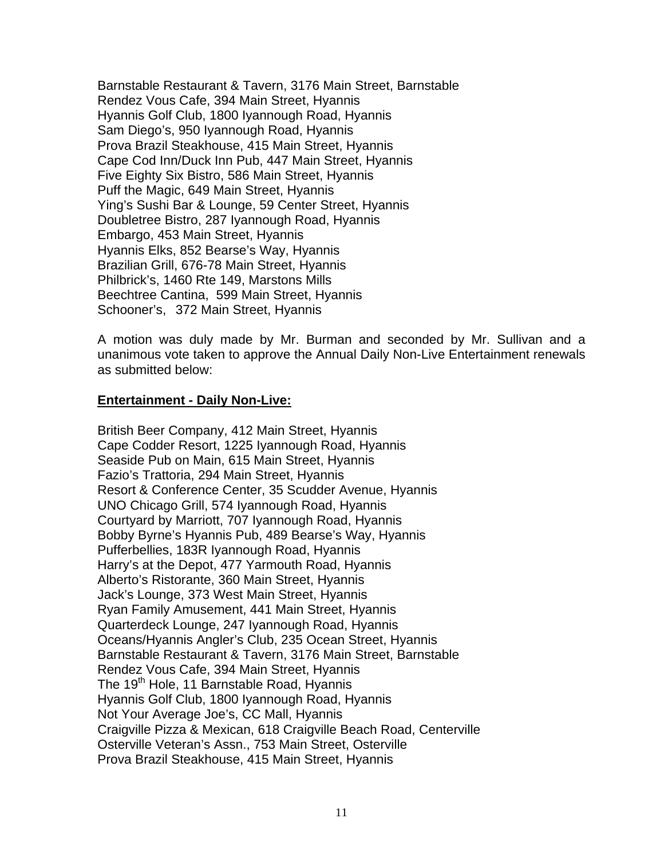Barnstable Restaurant & Tavern, 3176 Main Street, Barnstable Rendez Vous Cafe, 394 Main Street, Hyannis Hyannis Golf Club, 1800 Iyannough Road, Hyannis Sam Diego's, 950 Iyannough Road, Hyannis Prova Brazil Steakhouse, 415 Main Street, Hyannis Cape Cod Inn/Duck Inn Pub, 447 Main Street, Hyannis Five Eighty Six Bistro, 586 Main Street, Hyannis Puff the Magic, 649 Main Street, Hyannis Ying's Sushi Bar & Lounge, 59 Center Street, Hyannis Doubletree Bistro, 287 Iyannough Road, Hyannis Embargo, 453 Main Street, Hyannis Hyannis Elks, 852 Bearse's Way, Hyannis Brazilian Grill, 676-78 Main Street, Hyannis Philbrick's, 1460 Rte 149, Marstons Mills Beechtree Cantina, 599 Main Street, Hyannis Schooner's, 372 Main Street, Hyannis

A motion was duly made by Mr. Burman and seconded by Mr. Sullivan and a unanimous vote taken to approve the Annual Daily Non-Live Entertainment renewals as submitted below:

#### **Entertainment - Daily Non-Live:**

British Beer Company, 412 Main Street, Hyannis Cape Codder Resort, 1225 Iyannough Road, Hyannis Seaside Pub on Main, 615 Main Street, Hyannis Fazio's Trattoria, 294 Main Street, Hyannis Resort & Conference Center, 35 Scudder Avenue, Hyannis UNO Chicago Grill, 574 Iyannough Road, Hyannis Courtyard by Marriott, 707 Iyannough Road, Hyannis Bobby Byrne's Hyannis Pub, 489 Bearse's Way, Hyannis Pufferbellies, 183R Iyannough Road, Hyannis Harry's at the Depot, 477 Yarmouth Road, Hyannis Alberto's Ristorante, 360 Main Street, Hyannis Jack's Lounge, 373 West Main Street, Hyannis Ryan Family Amusement, 441 Main Street, Hyannis Quarterdeck Lounge, 247 Iyannough Road, Hyannis Oceans/Hyannis Angler's Club, 235 Ocean Street, Hyannis Barnstable Restaurant & Tavern, 3176 Main Street, Barnstable Rendez Vous Cafe, 394 Main Street, Hyannis The 19<sup>th</sup> Hole, 11 Barnstable Road, Hyannis Hyannis Golf Club, 1800 Iyannough Road, Hyannis Not Your Average Joe's, CC Mall, Hyannis Craigville Pizza & Mexican, 618 Craigville Beach Road, Centerville Osterville Veteran's Assn., 753 Main Street, Osterville Prova Brazil Steakhouse, 415 Main Street, Hyannis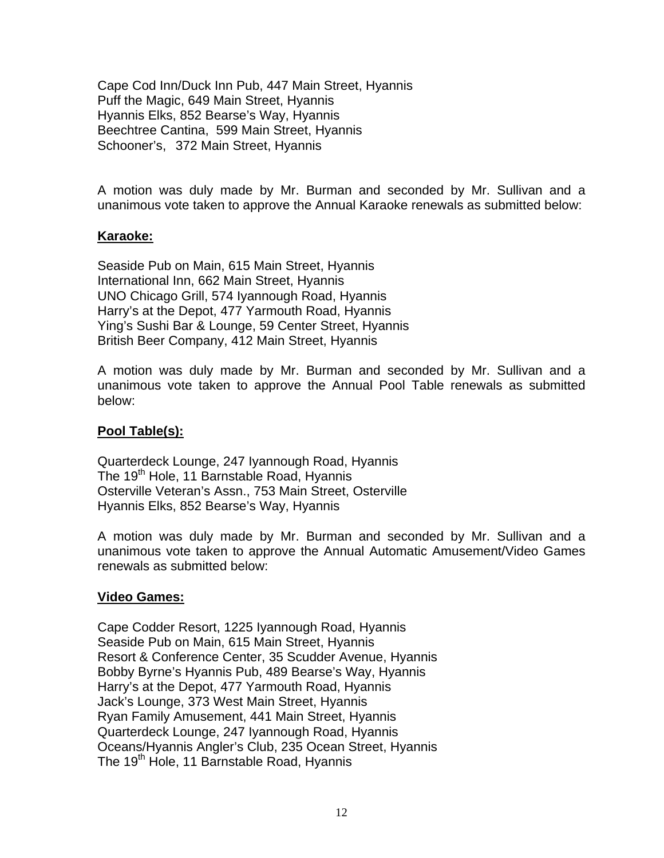Cape Cod Inn/Duck Inn Pub, 447 Main Street, Hyannis Puff the Magic, 649 Main Street, Hyannis Hyannis Elks, 852 Bearse's Way, Hyannis Beechtree Cantina, 599 Main Street, Hyannis Schooner's, 372 Main Street, Hyannis

A motion was duly made by Mr. Burman and seconded by Mr. Sullivan and a unanimous vote taken to approve the Annual Karaoke renewals as submitted below:

### **Karaoke:**

Seaside Pub on Main, 615 Main Street, Hyannis International Inn, 662 Main Street, Hyannis UNO Chicago Grill, 574 Iyannough Road, Hyannis Harry's at the Depot, 477 Yarmouth Road, Hyannis Ying's Sushi Bar & Lounge, 59 Center Street, Hyannis British Beer Company, 412 Main Street, Hyannis

A motion was duly made by Mr. Burman and seconded by Mr. Sullivan and a unanimous vote taken to approve the Annual Pool Table renewals as submitted below:

# **Pool Table(s):**

Quarterdeck Lounge, 247 Iyannough Road, Hyannis The 19<sup>th</sup> Hole, 11 Barnstable Road, Hyannis Osterville Veteran's Assn., 753 Main Street, Osterville Hyannis Elks, 852 Bearse's Way, Hyannis

A motion was duly made by Mr. Burman and seconded by Mr. Sullivan and a unanimous vote taken to approve the Annual Automatic Amusement/Video Games renewals as submitted below:

# **Video Games:**

Cape Codder Resort, 1225 Iyannough Road, Hyannis Seaside Pub on Main, 615 Main Street, Hyannis Resort & Conference Center, 35 Scudder Avenue, Hyannis Bobby Byrne's Hyannis Pub, 489 Bearse's Way, Hyannis Harry's at the Depot, 477 Yarmouth Road, Hyannis Jack's Lounge, 373 West Main Street, Hyannis Ryan Family Amusement, 441 Main Street, Hyannis Quarterdeck Lounge, 247 Iyannough Road, Hyannis Oceans/Hyannis Angler's Club, 235 Ocean Street, Hyannis The 19<sup>th</sup> Hole, 11 Barnstable Road, Hyannis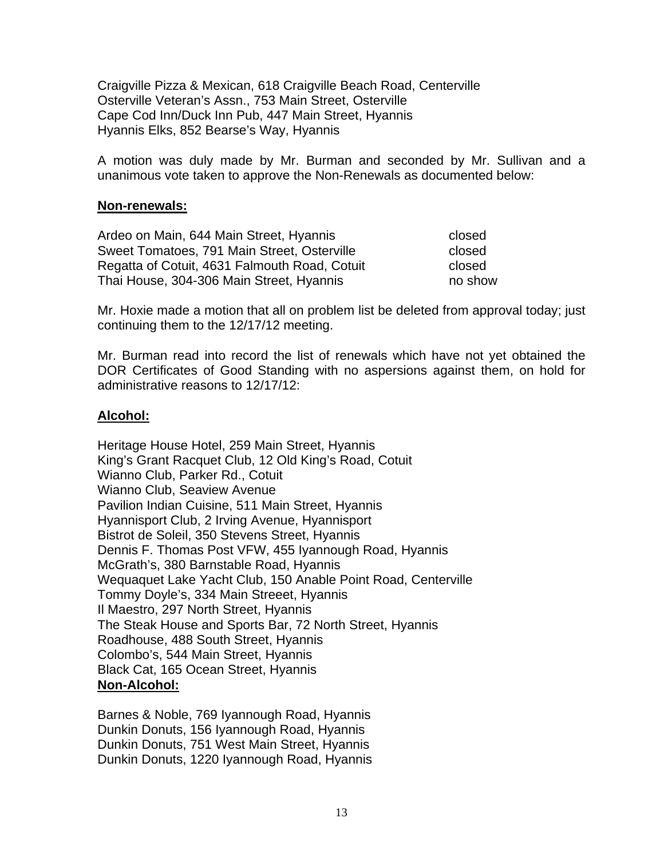Craigville Pizza & Mexican, 618 Craigville Beach Road, Centerville Osterville Veteran's Assn., 753 Main Street, Osterville Cape Cod Inn/Duck Inn Pub, 447 Main Street, Hyannis Hyannis Elks, 852 Bearse's Way, Hyannis

A motion was duly made by Mr. Burman and seconded by Mr. Sullivan and a unanimous vote taken to approve the Non-Renewals as documented below:

#### **Non-renewals:**

Ardeo on Main, 644 Main Street, Hyannis closed Sweet Tomatoes, 791 Main Street, Osterville closed Regatta of Cotuit, 4631 Falmouth Road, Cotuit closed Thai House, 304-306 Main Street, Hyannis no show

Mr. Hoxie made a motion that all on problem list be deleted from approval today; just continuing them to the 12/17/12 meeting.

Mr. Burman read into record the list of renewals which have not yet obtained the DOR Certificates of Good Standing with no aspersions against them, on hold for administrative reasons to 12/17/12:

### **Alcohol:**

Heritage House Hotel, 259 Main Street, Hyannis King's Grant Racquet Club, 12 Old King's Road, Cotuit Wianno Club, Parker Rd., Cotuit Wianno Club, Seaview Avenue Pavilion Indian Cuisine, 511 Main Street, Hyannis Hyannisport Club, 2 Irving Avenue, Hyannisport Bistrot de Soleil, 350 Stevens Street, Hyannis Dennis F. Thomas Post VFW, 455 Iyannough Road, Hyannis McGrath's, 380 Barnstable Road, Hyannis Wequaquet Lake Yacht Club, 150 Anable Point Road, Centerville Tommy Doyle's, 334 Main Streeet, Hyannis Il Maestro, 297 North Street, Hyannis The Steak House and Sports Bar, 72 North Street, Hyannis Roadhouse, 488 South Street, Hyannis Colombo's, 544 Main Street, Hyannis Black Cat, 165 Ocean Street, Hyannis **Non-Alcohol:**

Barnes & Noble, 769 Iyannough Road, Hyannis Dunkin Donuts, 156 Iyannough Road, Hyannis Dunkin Donuts, 751 West Main Street, Hyannis Dunkin Donuts, 1220 Iyannough Road, Hyannis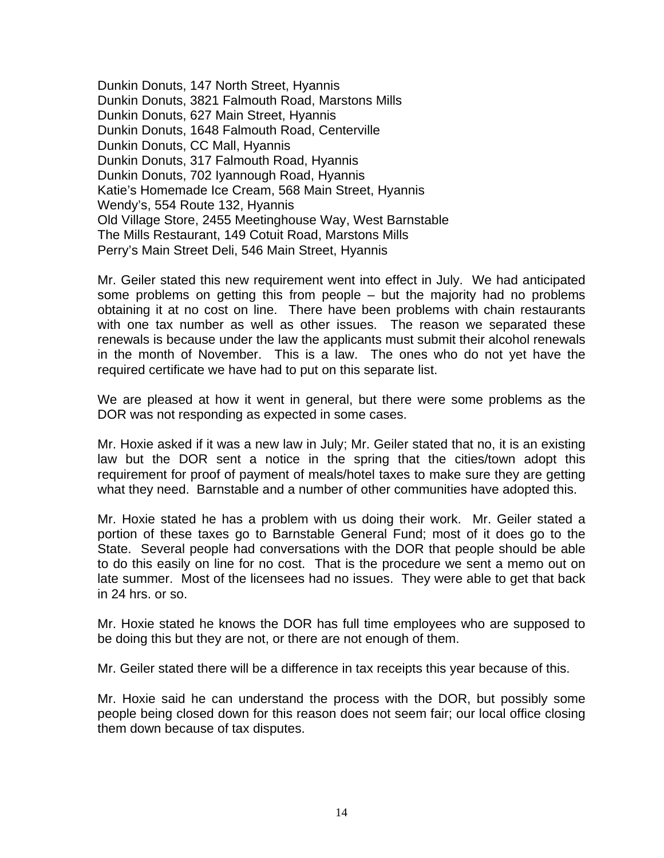Dunkin Donuts, 147 North Street, Hyannis Dunkin Donuts, 3821 Falmouth Road, Marstons Mills Dunkin Donuts, 627 Main Street, Hyannis Dunkin Donuts, 1648 Falmouth Road, Centerville Dunkin Donuts, CC Mall, Hyannis Dunkin Donuts, 317 Falmouth Road, Hyannis Dunkin Donuts, 702 Iyannough Road, Hyannis Katie's Homemade Ice Cream, 568 Main Street, Hyannis Wendy's, 554 Route 132, Hyannis Old Village Store, 2455 Meetinghouse Way, West Barnstable The Mills Restaurant, 149 Cotuit Road, Marstons Mills Perry's Main Street Deli, 546 Main Street, Hyannis

Mr. Geiler stated this new requirement went into effect in July. We had anticipated some problems on getting this from people – but the majority had no problems obtaining it at no cost on line. There have been problems with chain restaurants with one tax number as well as other issues. The reason we separated these renewals is because under the law the applicants must submit their alcohol renewals in the month of November. This is a law. The ones who do not yet have the required certificate we have had to put on this separate list.

We are pleased at how it went in general, but there were some problems as the DOR was not responding as expected in some cases.

Mr. Hoxie asked if it was a new law in July; Mr. Geiler stated that no, it is an existing law but the DOR sent a notice in the spring that the cities/town adopt this requirement for proof of payment of meals/hotel taxes to make sure they are getting what they need. Barnstable and a number of other communities have adopted this.

Mr. Hoxie stated he has a problem with us doing their work. Mr. Geiler stated a portion of these taxes go to Barnstable General Fund; most of it does go to the State. Several people had conversations with the DOR that people should be able to do this easily on line for no cost. That is the procedure we sent a memo out on late summer. Most of the licensees had no issues. They were able to get that back in 24 hrs. or so.

Mr. Hoxie stated he knows the DOR has full time employees who are supposed to be doing this but they are not, or there are not enough of them.

Mr. Geiler stated there will be a difference in tax receipts this year because of this.

Mr. Hoxie said he can understand the process with the DOR, but possibly some people being closed down for this reason does not seem fair; our local office closing them down because of tax disputes.